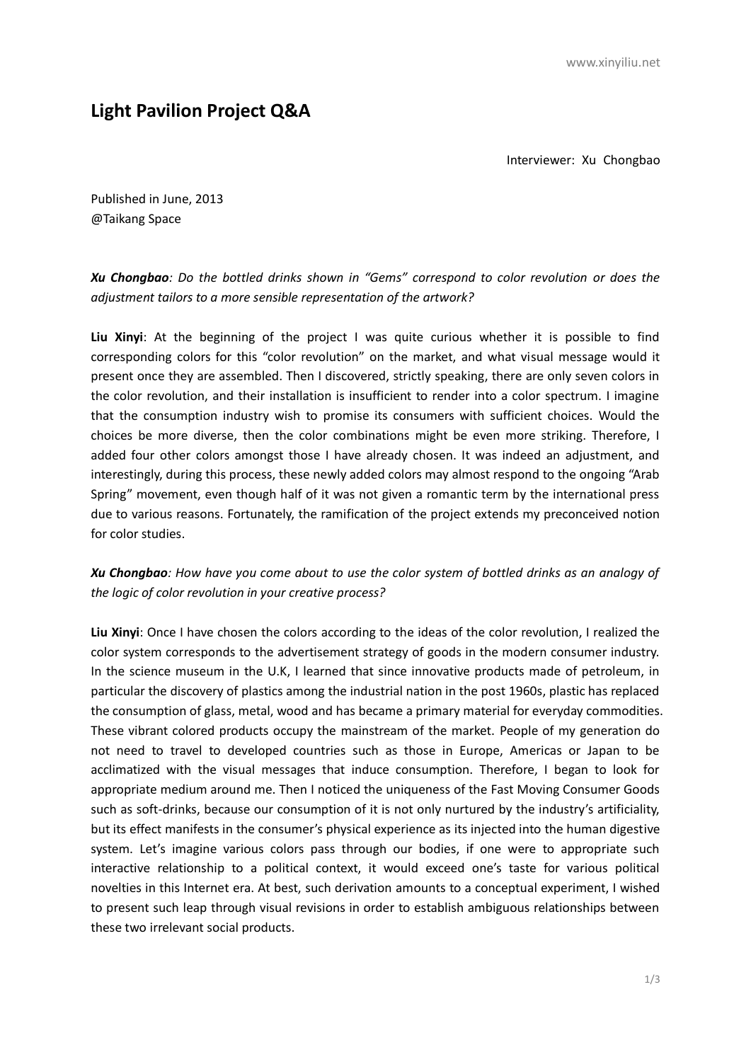## **Light Pavilion Project Q&A**

Interviewer: Xu Chongbao

Published in June, 2013 @Taikang Space

## *Xu Chongbao: Do the bottled drinks shown in "Gems" correspond to color revolution or does the adjustment tailors to a more sensible representation of the artwork?*

**Liu Xinyi**: At the beginning of the project I was quite curious whether it is possible to find corresponding colors for this "color revolution" on the market, and what visual message would it present once they are assembled. Then I discovered, strictly speaking, there are only seven colors in the color revolution, and their installation is insufficient to render into a color spectrum. I imagine that the consumption industry wish to promise its consumers with sufficient choices. Would the choices be more diverse, then the color combinations might be even more striking. Therefore, I added four other colors amongst those I have already chosen. It was indeed an adjustment, and interestingly, during this process, these newly added colors may almost respond to the ongoing "Arab Spring" movement, even though half of it was not given a romantic term by the international press due to various reasons. Fortunately, the ramification of the project extends my preconceived notion for color studies.

## *Xu Chongbao: How have you come about to use the color system of bottled drinks as an analogy of the logic of color revolution in your creative process?*

**Liu Xinyi**: Once I have chosen the colors according to the ideas of the color revolution, I realized the color system corresponds to the advertisement strategy of goods in the modern consumer industry. In the science museum in the U.K, I learned that since innovative products made of petroleum, in particular the discovery of plastics among the industrial nation in the post 1960s, plastic has replaced the consumption of glass, metal, wood and has became a primary material for everyday commodities. These vibrant colored products occupy the mainstream of the market. People of my generation do not need to travel to developed countries such as those in Europe, Americas or Japan to be acclimatized with the visual messages that induce consumption. Therefore, I began to look for appropriate medium around me. Then I noticed the uniqueness of the Fast Moving Consumer Goods such as soft-drinks, because our consumption of it is not only nurtured by the industry's artificiality, but its effect manifests in the consumer's physical experience as its injected into the human digestive system. Let's imagine various colors pass through our bodies, if one were to appropriate such interactive relationship to a political context, it would exceed one's taste for various political novelties in this Internet era. At best, such derivation amounts to a conceptual experiment, I wished to present such leap through visual revisions in order to establish ambiguous relationships between these two irrelevant social products.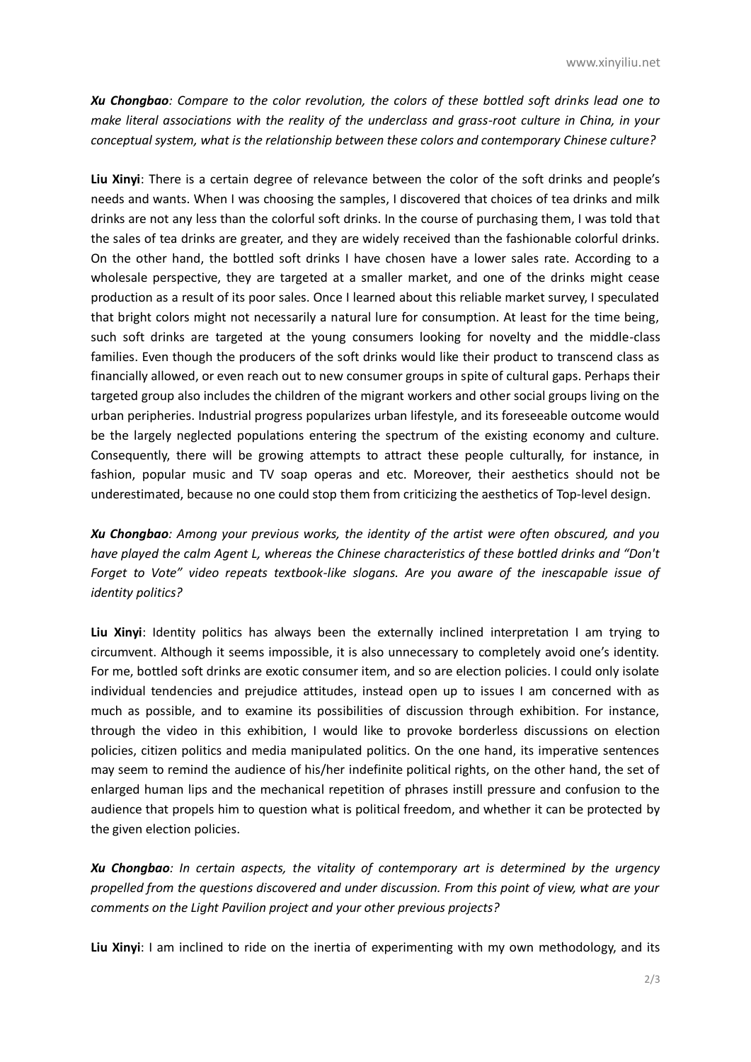*Xu Chongbao: Compare to the color revolution, the colors of these bottled soft drinks lead one to make literal associations with the reality of the underclass and grass-root culture in China, in your conceptual system, what is the relationship between these colors and contemporary Chinese culture?* 

**Liu Xinyi**: There is a certain degree of relevance between the color of the soft drinks and people's needs and wants. When I was choosing the samples, I discovered that choices of tea drinks and milk drinks are not any less than the colorful soft drinks. In the course of purchasing them, I was told that the sales of tea drinks are greater, and they are widely received than the fashionable colorful drinks. On the other hand, the bottled soft drinks I have chosen have a lower sales rate. According to a wholesale perspective, they are targeted at a smaller market, and one of the drinks might cease production as a result of its poor sales. Once I learned about this reliable market survey, I speculated that bright colors might not necessarily a natural lure for consumption. At least for the time being, such soft drinks are targeted at the young consumers looking for novelty and the middle-class families. Even though the producers of the soft drinks would like their product to transcend class as financially allowed, or even reach out to new consumer groups in spite of cultural gaps. Perhaps their targeted group also includes the children of the migrant workers and other social groups living on the urban peripheries. Industrial progress popularizes urban lifestyle, and its foreseeable outcome would be the largely neglected populations entering the spectrum of the existing economy and culture. Consequently, there will be growing attempts to attract these people culturally, for instance, in fashion, popular music and TV soap operas and etc. Moreover, their aesthetics should not be underestimated, because no one could stop them from criticizing the aesthetics of Top-level design.

*Xu Chongbao: Among your previous works, the identity of the artist were often obscured, and you have played the calm Agent L, whereas the Chinese characteristics of these bottled drinks and "Don't Forget to Vote" video repeats textbook-like slogans. Are you aware of the inescapable issue of identity politics?* 

**Liu Xinyi**: Identity politics has always been the externally inclined interpretation I am trying to circumvent. Although it seems impossible, it is also unnecessary to completely avoid one's identity. For me, bottled soft drinks are exotic consumer item, and so are election policies. I could only isolate individual tendencies and prejudice attitudes, instead open up to issues I am concerned with as much as possible, and to examine its possibilities of discussion through exhibition. For instance, through the video in this exhibition, I would like to provoke borderless discussions on election policies, citizen politics and media manipulated politics. On the one hand, its imperative sentences may seem to remind the audience of his/her indefinite political rights, on the other hand, the set of enlarged human lips and the mechanical repetition of phrases instill pressure and confusion to the audience that propels him to question what is political freedom, and whether it can be protected by the given election policies.

*Xu Chongbao: In certain aspects, the vitality of contemporary art is determined by the urgency propelled from the questions discovered and under discussion. From this point of view, what are your comments on the Light Pavilion project and your other previous projects?*

**Liu Xinyi**: I am inclined to ride on the inertia of experimenting with my own methodology, and its